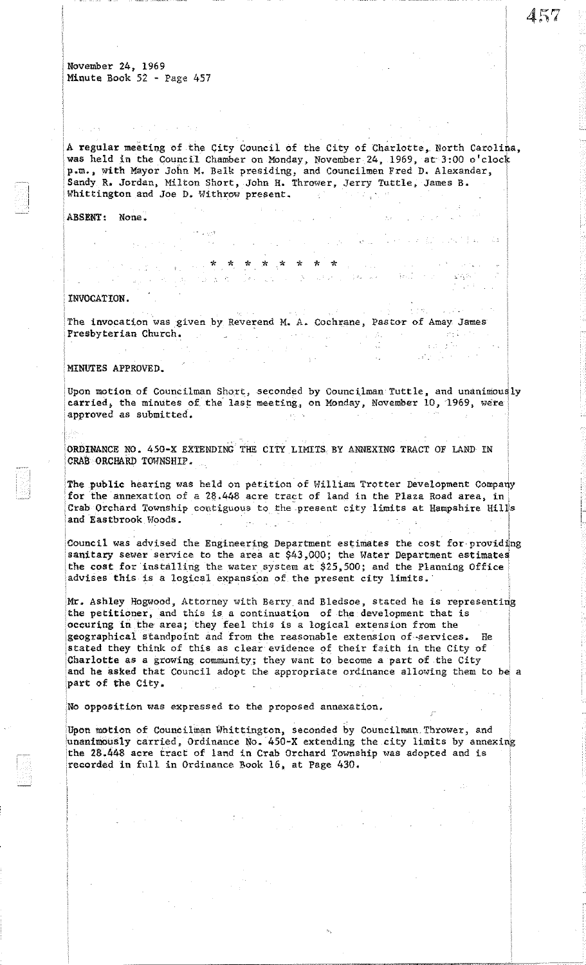$\epsilon$  , and

A regular meeting of the City Council of the City of Charlotte, North Carolina, was held in the Council Chamber on Monday, November 24, 1969, at 3:00 o'clock p.m., with Mayor John M. Belk presiding, and Councilmen Fred D. Alexander, Sandy R. Jordan, Milton Short, John H. Thrower, Jerry Tuttle, James B. Whittington and Joe D. Withrow present.  $\sim 10^{-7}$ しこえいがい

 $4.796$ 

فقالهم والمحرب الإلاناء بالمالأ

 $\sqrt{\beta_{\rm B}^2/\gamma_{\rm c}}$  .

 $\Delta \sim 10^6$  km s

 $\lambda$  and

 $\sim 10^{-1}$  $\sim 10^{-11}$   $\frac{1}{2} \frac{1}{2} \frac{1}{2}$ 

: I-I

## ABSENT: None.

INVOCATION.

The invocation was given by Reverend M. A. Cochrane, Pastor of Amay James Presbyterian Church. The contract of the contract of the contract of the contract of the contract of the contract of the contract of the contract of the contract of the contract of the contract of the contract of the contr

 $\mathcal{L}^{\mathcal{L}}$ 

\* \* \* -\* ,\* \* \* \*

## MINUTES APPROVED.

Upon motion of Councilman Short, seconded by Councilman Tuttle, and unanimously carried, the minutes of the last meeting, on Monday, November 10, 1969, were approved as submitted.

ORDINANCE NO. 450-X EXTENDING THE CITY LIMITS BY ANNEXING TRACT OF LAND IN CRAB ORCHARD TOWNSHIP.

The public hearing was held on petition of William Trotter Development Company for the annexation of a  $28.448$  acre tract of land in the Plaza Road area, in Crab Orchard Township contiguous to the present city limits at Hampshire Hills and Eastbrook Woods.  $\frac{1}{2} \frac{1}{2} \frac{1}{2} \frac{1}{2} \frac{1}{2} \frac{1}{2}$  $\sim$ 

Council was advised the Engineering Department estimates the cost for providing sanitary sewer service to the area at  $$43,000$ ; the Water Department estimates the cost for installing the water system at \$25,500; and the Planning Office advises this is a logical expansion of the present city limits.

Mr. Ashley Hogwood, Attorney with Berry and Bledsoe, stated he is representing the petitioner, and this is a continuation of the development that is ·occuring in the area; they feel this is a logical extension from the geographical standpoint and from the reasonable extension of-services. He stated they think of this as clear evidence of their faith in the City of Charlotte as a growing community; they want to become a part of the City and he asked that Council adopt the appropriate ordinance allowing them to be a 'part of the City.

No opposition was expressed to the proposed annexation.

Upon motion of Councilman Whittington, seconded by Councilman Thrower, and 'unanimously carried, Ordinance No.' 450-X extending the city limits by annexing the 28.448 acre tract of land in Crab Orchard Township was adopted and is recorded in full in Ordinance Book 16, at Page 430.

-------------------- --~~~-~~~~~.-, .. <sup>~</sup>.. ~-,~".~.= .. ~~= "------

 $\sim 10^{12}$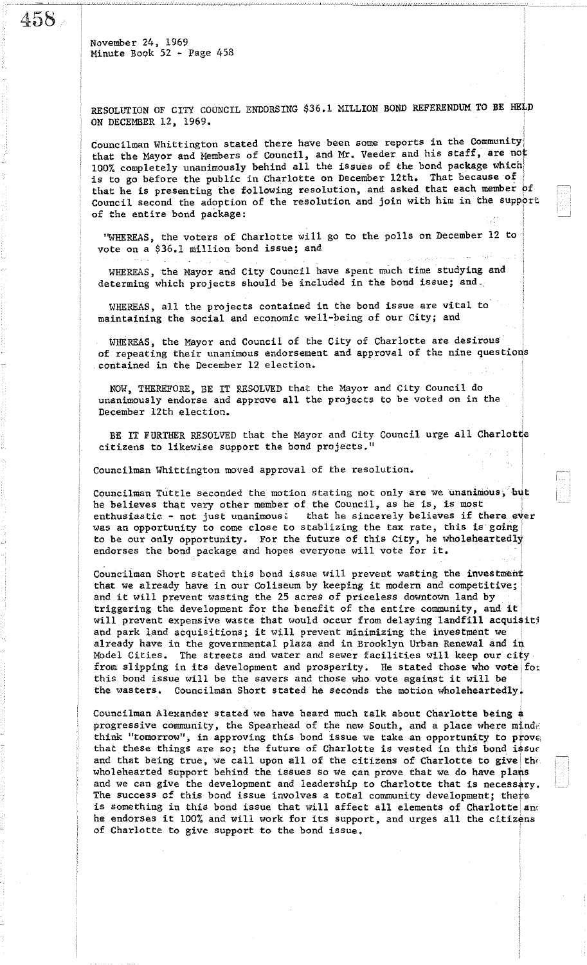45S

November 24, 1969 Minute Book 52 - Page 458

RESOLUTION OF CITY COUNCIL ENDORSING \$36.1 MILLION BOND REFERENDUM TO BE HELD ON DECEMBER 12, 1969.

Councilman Whittington stated there have been some reports in the Community: that the Mayor and Members of Council, and Mr. Veeder and his staff, are not 100% completely unanimously behind all the issues of the bond package which' is to go before the public in Charlotte on December 12th. That because of that he is presenting the following resolution, and asked that each member of Council second the adoption of the resolution and join with him in the support of the entire bond package: W

"WHEREAS, the voters of Charlotte will go to the pollS on December 12 to vote on a \$36.1 million bond issue; and

WHEREAS, the Mayor and City Council have spent much time studying and determing which projects should be included in the bond issue; and.

WHEREAS, all the projects contained in the bond issue are vital to maintaining the social and economic well-being of our City; and

WHEREAS, the Mayor and Council of the City of Charlotte are desirous of repeating their unanimous endorsement and approval of the nine questions contained in the December 12 election.

NOW, THEREFORE, BE IT RESOLVED that the Mayor and City Council do unanimously endorse and approve all the projects to be voted on in the December 12th election.

BE IT FURTHER RESOLVED that the Mayor and City Council urge all Charlotte citizens to likewise support the bond projects."

Councilman Whittington moved approval of the resolution.

Councilman Tuttle seconded the motion stating not only are we unaninious, but he believes that very other member of the Council, as he is, is most enthusiastic - not just unanimous. that he sincerely believes if there ever was an opportunity to come close to stablizing the tax rate, this is going to be our only opportunity. For the future of this City, he wholeheartedly endorses the bond package and hopes everyone will vote for it.

Councilman Short stated this bond issue will prevent wasting the investment that we already have in our Coliseum by keeping it modern and competitive; and it will prevent wasting the 25 acres of priceless downtown land by triggering the development for the benefit of the entire community, and it will prevent expensive waste that would occur from delaying landfill acquisit! and park land acquisitions; it will prevent minimizing the investment we already have in the governmental plaza and in Brooklyn Urban Renewal and in Model Cities. The streets and water and sewer facilities will keep our city from slipping in its development and prosperity. He stated those who vote for this bond issue will be the savers and those who vote against it will be the wasters. Councilman Short stated he seconds the motion wholeheartedlyi

Councilman Alexander stated we have heard much talk about Charlotte being a progressive community, the Spearhead of the new South, and a place where  $m_1^2$ think "tomorrow", in approving this bond issue we take an opportunity to prove, that these things are so; the future of Charlotte is vested in this bond issue and that being true, we call upon all of the citizens of Charlotte to give the wholehearted support behind the issues so we can prove that we do have plans and we can give the development and leadership to Charlotte that is necessary. The success of this bond issue involves a total community development; there is something in this bond issue that will affect all elements of Charlotte and he endorses it 100% and will work for its support, and urges all the citizens or Charlotte to give support to the bond issue.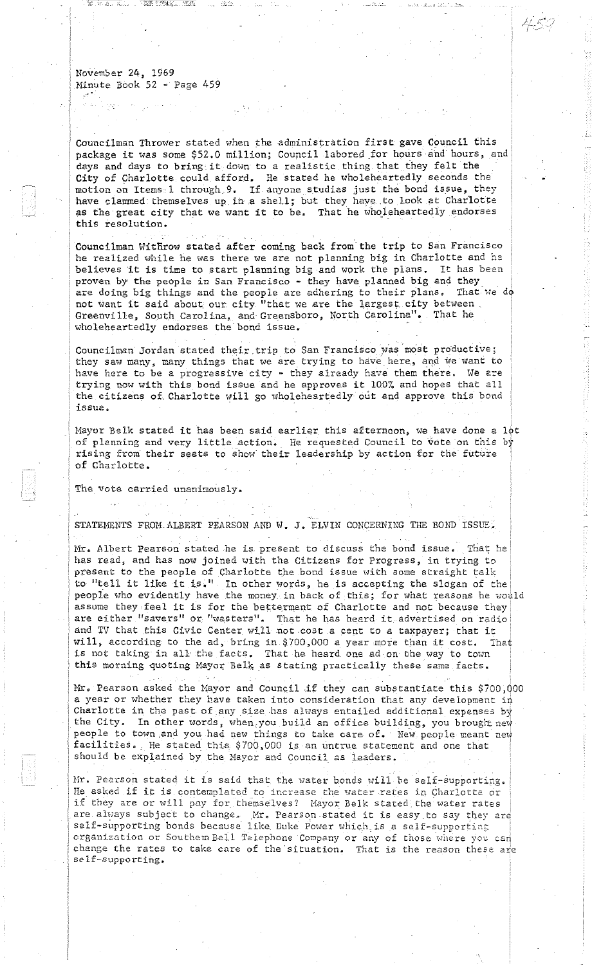Councilman Thrower stated when the administration first gave Council this package it was some \$52.0 million; Council labored for hours and hours, and days and days to bring it down to a realistic thing that they felt the City of Charlotte could afford. He stated he wholeheartedly seconds the motion on Items 1 through 9. If anyone studias just the bond issue, they have clammed themselves up in a shell; but they have to look at Charlotte as the great city that we want it to be. That he wholeheartedly endorses this resolution.

Councilman Withrow stated after coming back from the trip to San Francisco he realized while he was there we are not planning big in Charlotte and he believes it is time to start planning big and work the plans. It has been proven by the people in San Francisco - they have planned big and they are doing big things and the people are adhering to their plans. That we do not want it said about our city "that we are the largest city between. Greenville, South Carolina, and Greensboro, North Carolina". That he wholeheartedly endorses the bond issue.

Councilman Jordan stated their trip to San Francisco was most productive; they saw many, many things that we are trying to have here, and we want to have here to be a progressive city - they already have them there. We are trying now with this bond issue and he approves it 100% and hopes that all the citizens of Charlotte will go wholeheartedly out and approve this bond issue.

Mayor Belk stated it has been said earlier this afternoon, we have done a lot of planning and very little action. He requested Council to vote on this by rising from their seats to show their leadership by action for the future of Charlotte.

The vote carried unanimously.

STATEMENTS FROM ALBERT PEARSON AND W. J. ELVIN CONCERNING THE BOND ISSUE.

Mr. Albert Pearson stated he is present to discuss the bond issue. That he has read, and has now joined with the Citizens for Progress, in trying to present to the people of Charlotte the bond issue with some straight talk to- "tell it like it is." In other words, he is accepting the slogan of the: people who evidently have the money in back of this; for what reasons he would assume they feel it is for the betterment of Charlotte and not because they are either "savers" or "wasters". That he has heard it advertised on radio and TV that this Civic Center will not cost a cent to a taxpayer; that it Hill, according to the ad, bring in \$700,000 a year more than it cost. That is not taking in all the facts. That he heard one ad on the way to town this morning quoting Mayor Belk as stating practically these same facts.

Mr. Pearson asked the Mayor and Council if they can substantiate this \$700,000 a year or whether they have taken into consideration that any development in Charlotte in the past of any size has always entailed additional expenses by the City. In other words, when, you build an office building, you brought new people to town and you had new things to take care of. New people meant new facilities. He stated this \$700,000 is an untrue statement and one that should be explained by the Mayor and Council as leaders.

Mr. Pearson stated it is said that the water bonds will be self-supporting. He asked if it is contemplated to increase the water rates in Charlotte or if they are or will pay for themselves? Mayor Belk stated the water rates are ahyays subject to change. Mr. Pearson stated it is easy to say they are self-supporting bonds because like Duke Power which is a self-supporting  $organization$  or Southem Bell Telephone Company or any of those where you can change the rates to take care of the situation. That is the reason these are  $self-supporting.$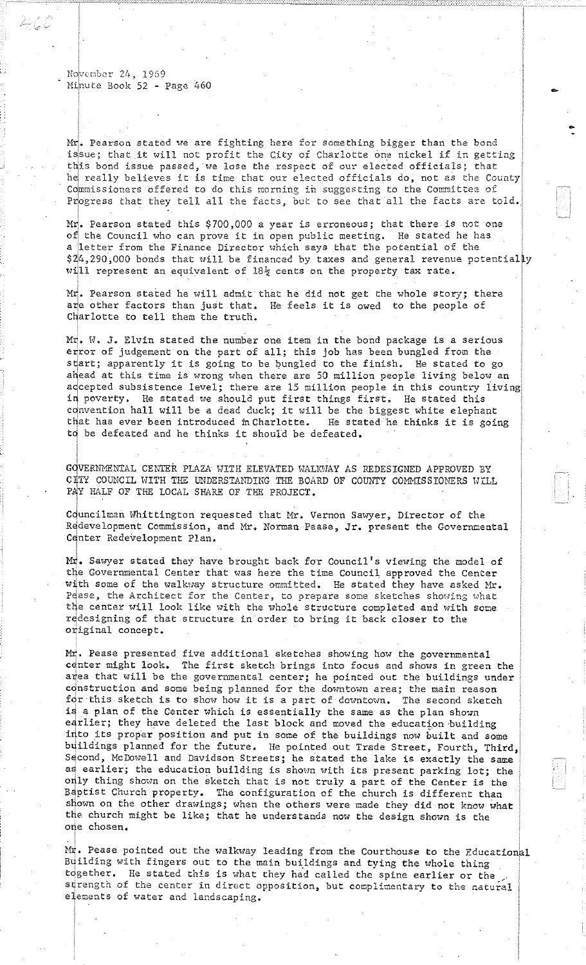ک کے ہیئے

Mr. Pearson stated we are fighting here for something bigger than the bond issue; that it will not profit the City of Charlotte one nickel if in getting this bond issue passed, we lose the respect of our elected officials; that he really believes it is time that our elected officials do, not as the County Commissioners offered to do this morning in suggesting to the Committee of Progress that they tell all the facts, but to see that all the facts are told. -

Mr. Pearson stated this \$700,000 a year is erroneous; that there is not one of the Council who can prove it in open public meeting. He stated he has a letter from the Finance Director which says that the potential of the  $$24, 290,000$  bonds that will be financed by taxes and general revenue potentially will represent an equivalent of  $18\frac{1}{2}$  cents on the property tax rate.

Mr. Pearson stated he will admit that he did not get the whole story; there are other factors than just that. He feels it is owed to the people of Charlotte to tell them the truth.

Mr. H. J. Elvin stated the number one item in the bond package is a serious error of judgement on the part of all; this job has been bungled from the start; apparently it is going to be bungled to the finish. He stated to go ahead at this time is wrong when there are 50 million people living below an adcepted subsistence level; there are 15 million people in this country living in poverty. He stated we should put first things first. He stated this convention hall will be a dead duck; it will be the biggest white elephant<br>that has ever been introduced in Charlotte. He stated he thinks it is going that has ever been introduced in Charlotte. tq be defeated and he thinks it should be defeated.

GQVERNMENTAL CENTER PLAZA WITH ELEVATED WALKWAY AS REDESIGNED APPROVED BY CITY COUNCIL WITH THE UNDERSTANDING THE BOARD OF COUNTY COMMISSIONERS WILL PAY HALF OF THE LOCAL SHARE OF THE PROJECT.

Councilman Whittington requested that Mr. Vernon Sawyer, Director of the Redevelopment Commission, and Mr. Norman Pease, Jr. present the Governmental Center Redevelopment Plan.

 $\texttt{Mr}$ . Sawyer stated they have brought back for Council's viewing the model of the Governmental Center that was here the time Council approved the Center with some of the walkway structure ommitted. He stated they have asked Mr. Pease, the Architect for the Center, to prepare some sketches showing what the center will look like with the whole structure completed and with some redesigning of that structure in order to bring it back closer to the original concept.

Mr. Pease presented five additional sketches showing how the governmental center might look. The first sketch brings into focus and shows in green the area that will be the governmental center; he pointed out the buildings under construction and some being planned for the downtown area; the main reason for this sketch is to show how it is a part of downtown. The second sketch is a plan of the Center which is essentially the same as the plan shown edrlier; they have deleted the last block and moved the education building into its proper position and put in some of the buildings now built and some buildings planned for the future. He pointed out Trade Street, Fourth, Third, Second, McDowell and Davidson Streets; he stated the lake is exactly the same as earlier; the education building is shown with its present parking lot; the only thing shown on the sketch that is not truly a part of the Center is the B4ptist Church property. The configuration of the church is different than shown on the other drawings; when the others were made they did not know what the church might be like; that he understands now the design shown is the one chosen.

 $M_T^4$ . Pease pointed out the walkway leading from the Courthouse to the Educational Building with fingers out to the main buildings and tying the whole thing together. He stated this is what they had called the spine earlier or the strength of the center in direct opposition, but complimentary to the natural elements of water and landscaping.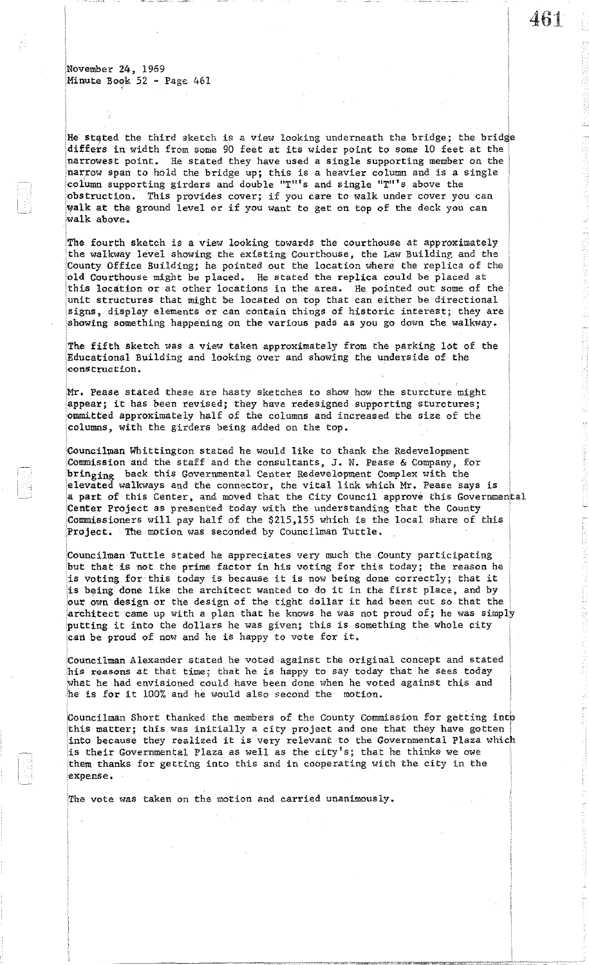He stated the third sketch is a view looking underneath the bridge; the bridge differs in width from some 90 feet at its wider point to some 10 feet at the narrowest point. He stated they have used a single supporting member on the narrow span to hold the bridge up; this is a heavier column and is a single column supporting girders and double "T"'s and single "T"'s above the 'obstruction. This provides cover; if you care to walk under cover you can walk at the ground level or if you want to get on top of the deck you can walk above.

'The fourth sketch is a view looking towards the courthouse at approximately the walkway level showing the existing Courthouse, the Law Building and the County Office Building; he pointed out the location where the replica of the 'old Courthouse might be placed. He stated the replica could be placed at this location or at other locations in the area. He pointed out some of the unit structures that might be located on top that can either be directional signs, display elements or can contain things of historic interest; they are showing something happening on the various pads as you go down the walkway.

The fifth sketch was a view taken approximately from the parking lot of the iEducational Building and looking over and showing the underside of the construction.

Mr. Pease stated these are hasty sketches to show how the sturcture might appear; it has been revised; they have redesigned supporting sturctures; 'Ommitted approximately half of the columns and increased the size of the ,columns, with the girders being added on the top.

Councilman Whittington stated he would like to thank the Redevelopment iCommission and the staff and the consultants, J. N. Pease & Company, for bringing back this Governmental Center Redevelopment Complex with the elevated walkways and the connector, the vital link which Mr. Pease says is a part of this Center, and moved that the City Council approve this Governmental Center Project as presented today with the understanding that the County 'Commissioners will pay half of the \$215,155 which is the local share of this Project. The motion was seconded by Councilman Tuttle.

!Councilman Tuttle stated he appreciates very much the County participating 'but that is not the prime factor in his voting for this today; the reason he is voting for· this today is because it is now being done correctly; that it is being done like the architect wanted to do it in the first place, and by our own design or the design of the tight dollar it had been cut so that the architect came up with a plan that he knows he was not proud of; he was simply putting it into the dollars he was given; this is something the whole city can be proud of now and he is happy to vote for it.

:Councilman Alexander stated he voted against the original concept and stated his reasons at that time; that he is happy to say today that he sees today what he had envisioned could have been done when he voted against this and he is for it 100% and he would also second the motion.

Councilman Short thanked the members of the County Commission for getting into Ithis matter; this was initially a city project and one that they have gotten into because they realized it is very relevant to the Governmental Plaza which is their Governmental Plaza as well as the city's; that he thinks we owe 'them thanks for getting into this and in cooperating with the city in the expense.

'The vote was taken on the motion and carried unanimously.

 $\frac{1}{4}$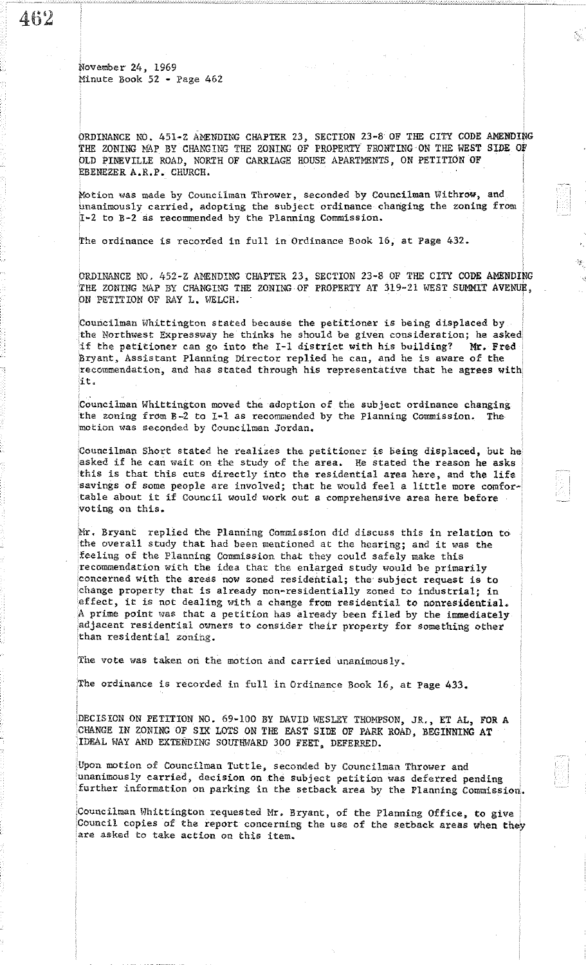462

ORDINANCE NO. 451-Z AMENDING CHAPTER 23, SECTION 23-8 OF THE CITY CODE AMENDING THE ZONING MAP BY CHANGING THE ZONING OF PROPERTY FRONTING ON THE WEST SIDE OF OLD PINEVILLE ROAD, NORTH OF CARRIAGE HOUSE APARTMENTS, ON PETITION OF EBENEZER A.R.P. CHURCH.

Motion was made by Councilman Thrower, seconded by Councilman Withrow, and unanimously carried, adopting the subject ordinance changing the zoning from 1-2 to B-2 as recommended by the Planning Commission.

The ordinance is recorded in full in Ordinance Book 16, at Page 432.

ORDINANCE NO. 452-Z AMENDING CHAPTER 23, SECTION 23-8 OF THE CITY CODE AMENDING THE ZONING MAP BY CHANGING THE ZONING OF PROPERTY AT 319-21 WEST SUMMIT AVENUE, ON PETITION OF RAY L. WELCH.

Councilman Whittington stated because the petitioner is being displaced by the Northwest Expressway he thinks he should be given consideration; he asked if the petitioner can go into the I-I district with his building? Mr. Fred Bryant, Assistant Planning Director replied he can, and he is aware of the recommendation, and has stated through his representative that he agrees with, it.

'Councilman Whittington moved the adoption of the subject ordinance changing the zoning from B-2 to I~l as recommended by the Planning Commission. The motion was seconded by Councilman Jordan.

Councilman Short stated he realizes the petitioner is being displaced, but he asked if he can wait on the study of the area. He stated the reason he asks this is that this cuts directly into the reSidential area here, and the life savings of some people are involved; that he would feel a little more comfortable about it if Council would work out a comprehensive area here before voting on this.

Mr. Bryant replied the Planning Commission did discuss this in relation to the overall study that had been mentioned at the hearing; and it was the feeling of the Planning CommiSSion that they could safely make this recommendation with the idea that the enlarged study would be primarily concerned with the areas now zoned residential; the'subject request is to 'change property that is already non~residential1y zoned to industrial; in effect, it is not dealing with a change from residential to nonresidential. A prime point was that a petition has already been filed by the immediately adjacent residential owners to consider their property for something other than reSidential zoning.

The vote was taken on the motion and carried unanimously.

The ordinance is recorded in full in Ordinance Book 16, at Page 433.

DECISION ON PETITION NO. 69-100 BY DAVID WESLEY THOMPSON, JR., ET AL, FOR A CHANGE IN ZONING OF SIX LOTS ON THE EAST SIDE OF PARK ROAD, BEGINNING AT 'IDEAL WAY AND EXTENDING SOUl'lIWARD 300 FEET, DEFERRED.

Upon motion of Councilman Tuttle, seconded by Councilman Thrower and unanimously carried, decision on the subject petition was deferred pending further information on parking in the setback area by the Planning Commission.

Councilman Whittington requested Mr. Bryant, of the Planning Office, to give. Council copies of the report concerning the use of the setback areas when they are asked to take action on this item.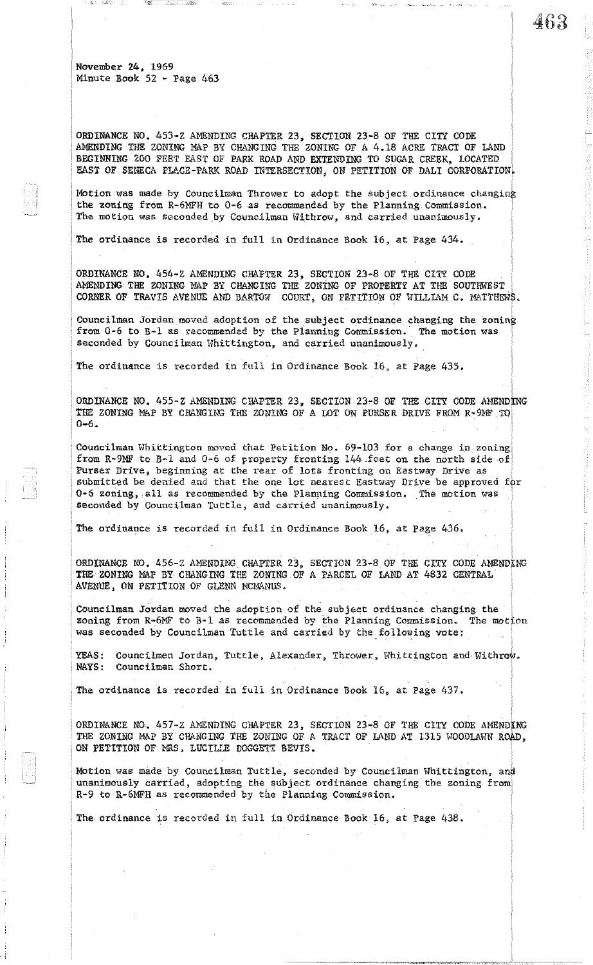ORDINANCE NO. 453-z AMENDING CHAPTER 23, SECTION 23-8 OF THE CITY CODE AMENDING THE ZONING MAP BY CHANGING THE ZONING OF A 4.18 ACRE TRACT OF LAND BEGINNING 200 FEET EAST OF PARK ROAD AND EXTENDING TO SUGAR CREEK, LOCATED EAST OF SENECA PLACE-PARK ROAD INTERSECTION, ON PETITION OF DALI CORPORATION. 463

Motion was made by Councilman Thrower to adopt the subject ordinance changing the zoning from R-6MFH to 0-6 as recommended by the Planning Commission. ' The motion was seconded by Councilman Withrow, and carried unanimously.

The ordinance is recorded in full in Ordinance Book 16, at Page 434.

ORDINANCE NO. 454-z AMENDING CHAPTER 23, SECTION 23-8 OF THE CITY CODE AMENDING THE ZONING MAP BY CHANGING THE ZONING OF PROPERTY AT THE SOUTHWEST CORNER OF TRAVIS AVENUE AND BARTOW COURT, ON PETITION OF WILLIAM C. MATTHEWS.

Councilman Jordan moved adoption of the subject ordinance changing the zoning from 0-6 to B-1 as recommended by the Planning Commission. The motion was seconded by Councilman Whittington, and carried unanimously.

The ordinance is recorded in full in Ordinance Book 16, at Page 435.

ORDINANCE NO. 455-Z AMENDING CHAPTER 23, SECTION 23-8 OF THE CITY CODE AMENDING THE ZONING MAP BY CHANGING THE ZONING OF A LOT ON PURSER DRIVE FROM R~9MF TO  $0 - 6$ .

Councilman Whittington moved that Petition No. 69-103 for a change in zoning from R-9MF to B-1 and 0-6 of property fronting 144.feet on the north side of Purser Drive, beginning at the rear of lots fronting on Eastway Drive as submitted be denied and that the one lot nearest Eastway Drive be approved for 0-6 zoning, all as recommended by the Planning Commission. The motion was seconded by Councilman Tuttle, and carried unanimously.

, The ordinance is recorded in full in Ordinance Book 16, at Page 436.

, ORDINANCE NO. 456-Z AMENDING CHAPTER 23, SECTION 23-8 OF THE CITY CODE AMENDING THE ZONING MAP BY, CHANGING THE ZONING OF A PARCEL DF LAND AT 4832 CENTRAL AVENUE, ON PETITION OF GLENN MCMANUS.

Councilman Jordan moved the adoption of the subject ordinance changing the zoning from R-6MF to B-1 as recommended by the Planning Commission. The motion was seconded by Councilman Tuttle and carried by the following vote:

YEAS: Councilmen Jordan, Tuttle, Alexander, Thrower, Whittington and Withrow. NAYS: Councilman Short.

The ordinance is recorded in full in Ordinance Book 16, at Page 437.

ORDINANCE NO. 457-Z AMENDING CHAPTER 23, SECTION 23-8 OF THE CITY CODE AMENDING THE ZONING MAP BY CHANGING THE ZONING OF A TRACT OF LAND AT 1315 WOODLAWN ROAD, . ON pETITION OF MRS. LUCILLE DOGGETT BEVIS.

Motion was made by Councilman Tuttle, seconded by Councilman Whittington, and unanimously carried, adopting the subject ordinance changing the zoning from R-9 to R-6MFH as recommended by the Planning Commission.

The ordinance is recorded in full in Ordinance Book 16, at Page 438.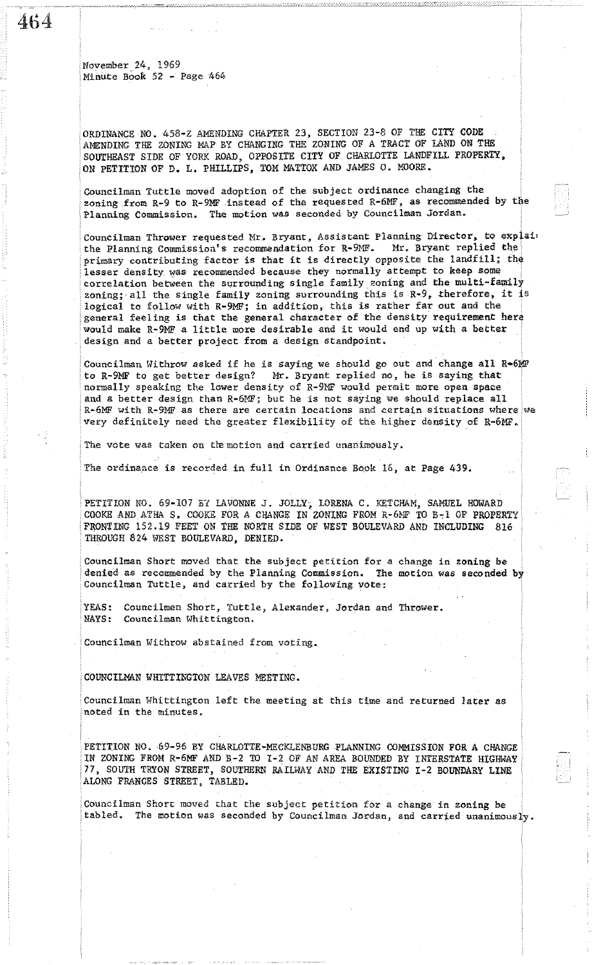464

November 24, 1969 MinUte BOOK 52 - Page 464

ORDINANCE NO. 458-Z AMENDING CPAPTER 23, SECTION 23-8 OF TEE CITY CODE AMENDING THE ZONING MAP BY CHANGING THE ZONING OF A TRACT OF LAND ON THE SOUTHEAST SIDE OF YORK ROAD, OPPOSITE CITY OF CHARLOTTE LANDFILL PROPERTY, ON PETITION OF D. L. PHILLIPS, TOM MATTOX AND JAMES O. MOORE.

Councilman Tuttle moved adoption of the subject ordinance changing the zoning from R-9 to R-9MF instead of the requested R-6MF, as recommended by the Planning Commission. The motion was seconded by Councilman Jordan.

Councilman Thrower requested Mr. Bryant, Assistant Planning Director, to explaint the Planning Commission's recommendation for R-9MF. Mr. Bryant replied the the Planning Commission's recommendation for R-9MF. primary contributing factor is that it is directly opposite the landfill; the lesser density was recommended because they normally attempt to keep some correlation between the surrounding single family zoning and the multi-family zoning; all the single family zoning surrounding this is  $R-9$ , therefore, it is logical to follow with R-9MF; in addition, this is rather far out and the general feeling is that the general character of the density requirement here would make R-9MF a little more desirable and it would end up with a better design and a better project from a design standpoint.

Councilman Withrow asked if he is saying we should go out and change all R=6MF to get better design? Mr. Bryant replied no, he is saying that Mr. Bryant replied no, he is saying that normally speaking the lower density of R-9MF would permit more open space and a better design than R-6MF; but he is not saying we should replace all R-6MF with R-9MF as there are certain locations and certain situations where we very definitely need the greater flexibility of the higher density of R-6MF.

The vote was taken on the motion and carried unanimously.

The ordinance is recorded in full in Ordinance Book 16, at Page 439.

PETITION NO. 69-107 B7 LAVONNE J. JOLLY, LORENA C. KETCHAM, SAMUEL HOWARD COOKEAND.ATHA \$. COOKE FOR A CHANGE IN ZONING FROM R-6NF TO B~l OF PROPERTY FRONTING 152.19 FEET ON THE NORTH SIDE OF WEST BOULEVARD AND INCLUDING 816 THROUGH 824 WEST BOULEVARD, DENIED.

Councilman Short moved that the subject pecition for a change in zoning be denied as recommended by the Planning Commission. The motion was seconded by Councilman Tuttle, and carried by the following vote:

YEAS: Councilmen Short, Tuttle, Alexander, Jordan and Thrower. NAYS: Councilman Whittington.

Councilman Withrow abstained from voting.

COUNCILMAN WHITTINGTON LEAVES MEETING.

• Councilman Hhittington left the meeting at this time and returned later as :noted in the minutes.

PETITION NO. 69-96 BY CHARLOTTE-MECKLENBURG PLANNING COMMISSION FOR A CHANGE IN ZONING FROM R-6MF AND B-2 TO 1-2 OF AN AREA BOUNDED BY INTERSTATE HIGHWAY 77, SOUTH TRYON STREET, SOUTHERN RAILWAY AND THE EXISTING I-2 BOUNDARY LINE ALONG FRANCES STREET, TABLED.

Councilman Short moved that the subject petition for a change in zoning be tabled. The motion was seconded by Councilman Jordan, and carried unanimom The motion was seconded by Councilman Jordan, and carried unanimously.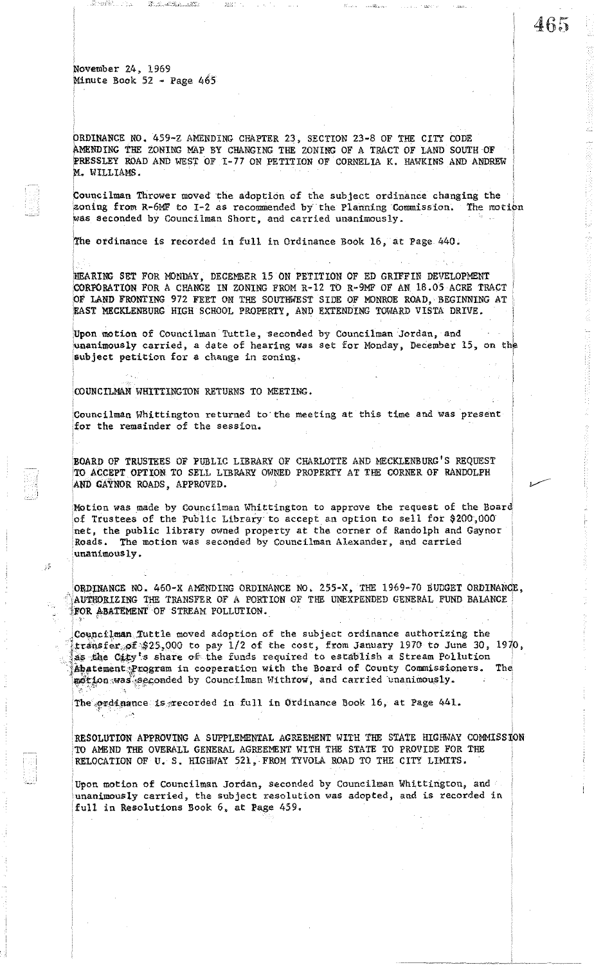ORDINANCE NO. 459-Z AMENDING CHAPTER 23, SECTION 23-8 OF THE CITY CODE AMENDING THE ZONING MAP BY CHANGING THE ZONING OF A TRACT OF LAND SOUTH OF PRESSLEY ROAD AND WEST OF 1-77 ON PETITION OF CORNELIA K. HAWKINS AND ANDREW M. WILLIAMS.

Councilman Thrower moved the adoption of the subject ordinance changing the zoning from R-6MF to I-2 as recommended by the Planning Commission. The motion was seconded by Councilman Short, and carried unanimously.

ithe ordinance is recorded in full in Ordinance Book 16, at page 440.

/HEARING SET FOR MONDAY, DECEMBER 15 ON PETITION OF ED GRIFFIN DEVELOPMENT iCORPORATION FOR A CHANGE IN ZONING FROM R-12 TO R-9MF OF AN 18 .05 ACRE TRACT OF LAND FRONTING 972 FEET ON THE SOUTHWEST SIDE OF MONROE ROAD, BEGINNING AT EAST MECKLENBURG HIGH SCHOOL PROPERTY, AND EXTENDING TOWARD VISTA DRIVE.

Upon motion of Councilman Tuttle, seconded by Councilman Jordan, and unanimously carried, a date of hearing was set for Monday, December 15, on the subject petition for a change in zoning.

COUNCILMAN WB1TTINGTON RETURNS TO MEETING.

-5

Councilman Whittington returned to the meeting at this time and was present for the remainder of the session.

BOARD OF TRUSTEES OF PUBLIC LIBRARY OF CHARLOTTE AND MECKLENBURG'S REQUEST TO ACCEPT OPTION TO SELL LIBRARY OWNED PROPERTY AT THE CORNER OF RANDOLPH AND GAYNOR ROADS, APPROVED.

'Motion was made by Councilman Whittington to approve the request of the Board of Trustees of the Public Library' to accept an option to sell for \$200,000 net, the public library owned property at the corner of Randolph and Gaynor Roads. The motion was seconded by Councilman Alexandet', and carried ; unanimous ly.

ORDINANCE NO. 460-X AMENDING ORDINANCE NO. 255-X, THE 1969-70 BUDGET ORDINANCE, AUTHORIZING THE TRANSFER OF A PORTION OF THE UNEXPENDED GENERAL FUND BALANCE FOR ABATEMENT OF STREAM POLLUTION.

Councilman Tuttle moved adoption of the subject ordinance authorizing the transfer  $pf$ \$25,000 to pay 1/2 of the cost, from January 1970 to June 30, 1970, as the City's share of the funds required to establish a Stream Poliution Abatement Program in cooperation with the Board of County Commissioners. The motion was seconded by Councilman Withrow, and carried unanimously. <!,- • ,

The ordinance is recorded in full in Ordinance Book 16, at Page 441.

RESOLUTION APPROVING A SUPPLEMENTAL AGREEMENT WITH THE STATE HIGHWAY COMMISSION TO AMEND THE OVERALL GENERAL AGREEMENT WITH THE STATE TO PROVIDE FOR THE RELOCATION OF U. S. HIGHWAY 521, FROM TYVOLA ROAD TO THE CITY LIMITS.

Upon motion of Councilman Jordan, seconded by Councilman Whittington, and 'unanimously carried, the subject resolution was adopted, and is recorded in full in Resolutions Book 6, at Page 459.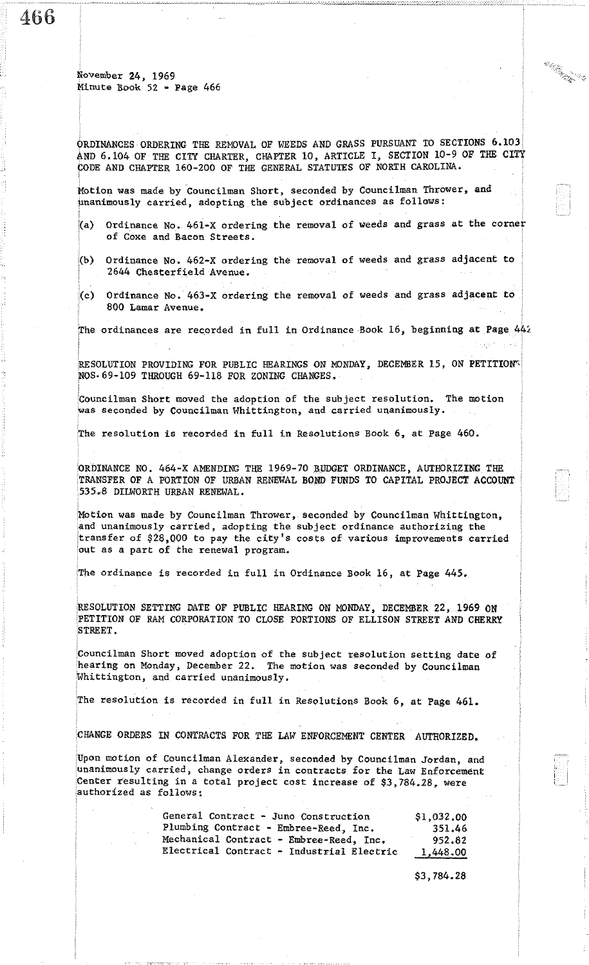466

ORDINANCES ORDERING THE REMOVAL OF WEEDS AND GRASS PURSUANT TO SECTIONS 6.103, AND 6.104 OF THE CITY CHARTER, CHAPTER 10, ARTICLE I, SECTION 10-9 OF THE CITY CODE AND CHAPTER 160~200 OF THE GENERAL STATUTES OF NORTH CAROLINA.

la kajar<br>Kampung

Motion was made by Councilman Short, seconded by Councilman Thrower, and tinanimous1y carried, adopting the subject ordinances as follows:

- (a) Ordinance No. 461-X ordering the removal of weeds and grass at the corner of Coxe and Bacon Streets.
- (b) Ordinance No. 462-X ordering the removal of weeds and grass adjacent to 2644 Chesterfield Avenue.
- (c) Ordinance No. 463-X ordering the removal of weeds and grass adjacent to 800 Lamar Avenue.

The ordinances are recorded in full in Ordinance Book 16, beginning at Page 442

RESOLUTION PROVIDING FOR PUBLIC HEARINGS ON MONDAY, DECEMBER 15, ON PETITION  $NOS· 69-109$  THROUGH  $69-118$  FOR ZONING CHANGES.

'Councilman Short moved the adoption of the Subject resolution. The motion was seconded by Councilman Whittington, and carried unanimously.

The resolution is recorded in full in Resolutions Book 6, at Page 460.

ORDINANCE NO. 464-X AMENDING THE 1969-70 B,UDGET ORDINANCE, AUTHORIZING THE TRANSFER OF A PORTION OF URBAN RENEWAL BOND FUNDS TO CAPITAL PROJEct ACCOUNT 535.8 DILWORTH URBAN RENEWAL.

Motion was made by Councilman Thrower, seconded by Councilman Whittington, and unanimously carried, adopting the subject ordinance authorizing the transfer of \$28,000 to pay the city's costs of various improvements carried 'out as a part of the renewal program.

The ordinance is recorded in full in Ordinance Book 16, at Page 445.

RESOLUTION SETTING DATE OF PUBLIC HEARING ON MONDAY, DECEMBER 22, 1969 ON iPETITION OF RAM CORPORATION TO CLOSE PORTIONS OF ELLISON STREET AND CHERRY STREET.

Councilman Short moved adoption of the subject resolution setting date of hearing on Monday, December 22. The motion was seconded by Councilman Whittington, and carried unanimously.

The resolution is recorded in full in Resolutions Book 6, at Page 461.

CHANGE ORDERS IN CONTRACTS FOR THE LAW ENFORCEMENT CENTER AUTHORIZED.

,Upon motion of Councilman Alexander. seconded by Councilman Jordan, and unanimously carried, change orders in contracts for the Law Enforcement .Center resulting in a total project cost increase of \$3,784.28, were authorized as follows:

| General Contract - Juno Construction      | \$1,032,00 |
|-------------------------------------------|------------|
| Plumbing Contract - Embree-Reed, Inc.     | 351.46     |
| Mechanical Contract - Embree-Reed, Inc.   | 952.82     |
| Electrical Contract - Industrial Electric | 1,448.00   |

\$3,784.28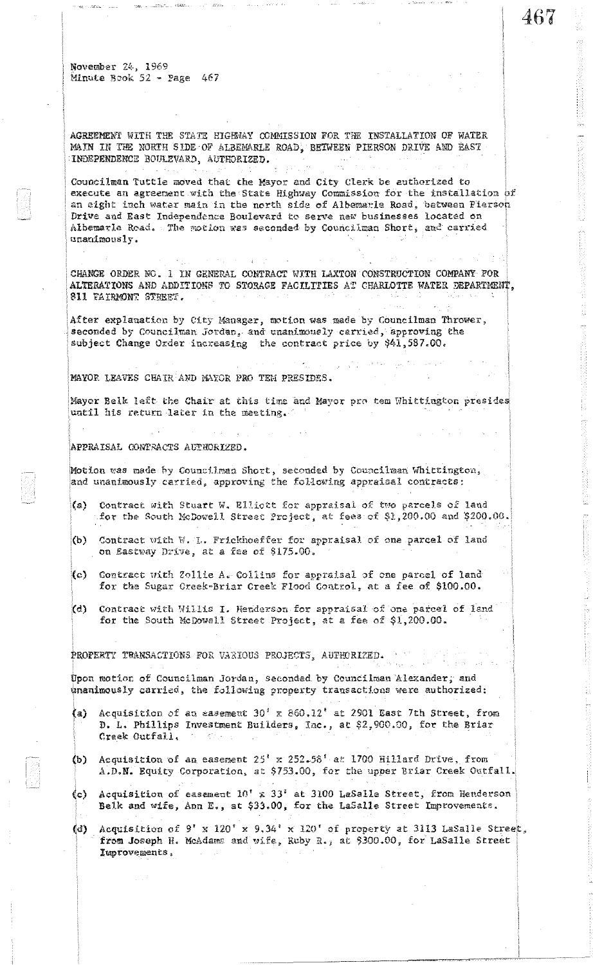AGREEMENT WITH THE STATE HIGHWAY COMMISSION FOR THE INSTALLATION OF WATER MAIN IN THE NORTH SIDE OF ALBEMARLE ROAD, BETWEEN PIERSON DRIVE AND EAST INDEPENDENCE BOULZVARD, AUTHORIZED.

Councilman Tuttle moved that the Mayor and City Clerk be authorized to execute an agreement with the State Highway Commission for the installation  $\beta f$ an eight inch water main in the north side of Albemarle Road, between Pierson Drive and East Independence Boulevard to serve new businesses located on Albemarla Road. The motion was seconded by Councilman Short, and carried unanimously.

CHANGE ORDER NO. 1 IN GENERAL CONTRACT WITH LAXTON CONSTRUCTION COMPANY FOR ALTERATIONS AND ADDITIONS TO STORAGE FACILITIES AT CHARLOTTE WATER DEPARTMENT, \$11 VAIRMONT STREET.

After explanation by City Manager, motion was made by Councilman Thrower, seconded by Councilman Jordan, and unanimously carried, approving the subject Change Order increasing the contract price by \$41,587.00.

 $\sim 4$ 

MAYOR LEAVES CHAIR AND MAYOR PRO TEM PRESIDES.

Mayor Belk left the Chair at this time and Mayor pro tem Whittington presides until his return later in the meeting.

## APPRAISAL CONTRACTS AUTHORIZED.

Motion was made by Councilman Short, seconded by Councilman Whittington, and unanimously carried, approving the following appraisal contracts:

- (a) Contract with Stuart W. Elliott for appraisal of two parcels of land for the South McDowell Street Project, at fees of \$1,200.00 and \$200.00.
- (b) Contract with W. L. Frickhoeffer for appraisal of one parcel of land. on Eastway Drive, at a fee of \$175.00.
- *(c)* Contract with Zollie A. Collins for appraisal of one parcel of land for the Sugar Creek-Briar Creek Flood Control, at a fee of \$100.00.
- (d) Contract with Willis I. Henderson for appraisal of one parcel of land for the South McDowell Street Project, at a fee of  $$1,200.00$ .

PROPERTY TRANSACTIONS FOR VARIOUS PROJECTS, AUTHORIZED.

Upon motion of Councilman Jordan, seconded by Councilman Alexander, and unanimously carried, the following property transactions were authorized:

- (a) Acquisition of an easement  $30'$  x 860.12' at 2901 East 7th Street, from D. L. Phillips Investment Builders, Inc., at \$2,900.00, for the Briar Creek Outfall.  $\label{eq:2} \mathcal{F}(\mathbf{x}) = \mathcal{F}(\mathbf{x}) + \mathcal{F}(\mathbf{x})$
- (b) Acquisition of an easement  $25' \times 252.58'$  at 1700 Hillard Drive, from A.D.N. Equity Corporation, at \$753.00, for the upper Briar Creek Outfall.
- (c) Acquisition of easement  $10' \times 33'$  at 3100 LaSalle Street, from Henderson Belk and wife, Ann E., at \$33.00, for the LaSalle Street Improvements.
- (d) Acquisition of 9' x 120' x 9.34' x 120' of property at 3113 LaSalle Street, from Joseph H. McAdams and wife, Ruby R., at \$300.00, for LaSalle Street Iuprovements.

467

(不行)的网络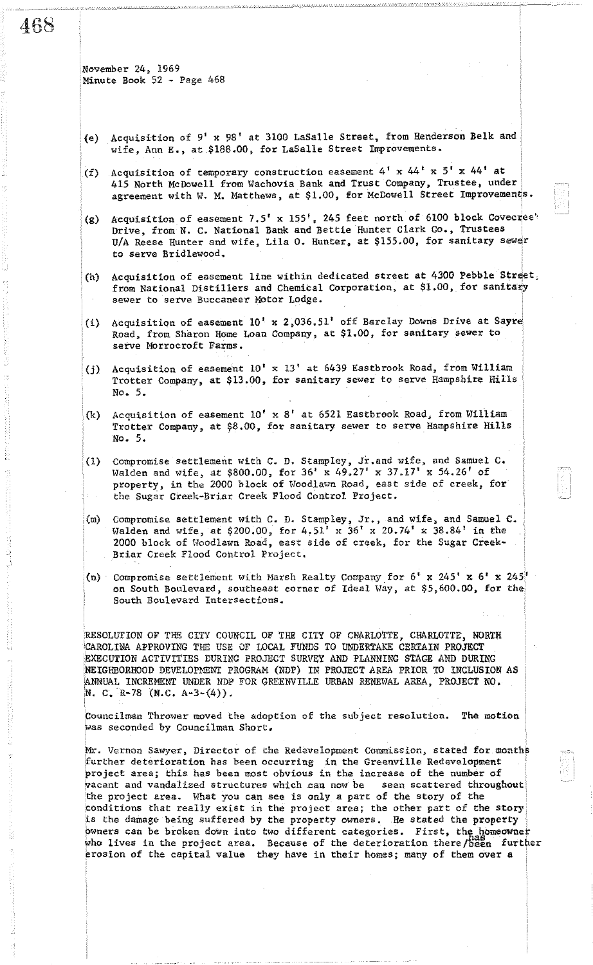468

November 24, 1969 Minute Book 52 - Page 468

- (e) Acquisition of 9' X 98' at 3100 LaSalle Street, from Henderson Belk and wife, Ann E., at \$188.00, for LaSalle Street Improvements.
- (f) Acquisition of temporary construction easement  $4'$  x  $44'$  x  $5'$  x  $44'$  at 415 North McDowell from Wachovia Bank and Trust Company, Trustee, under agreement with W. M. Matthews, at \$1.00, for McDowell Street Improvements.
- (g) Acquisition of easement  $7.5'$  x  $155'$ , 245 feet north of 6100 block Covecree' Drive, from N. C. National Bank and Bettie Hunter Clark Co., Trustees *UIA* Reese Hunter and wife, Lila O. Hunter, at \$155.00, for sanitary sewer to Serve Brid1ewood.
- (h) Acquisition of easement line within dedicated street at 4300 Pebble Street, from National Distillers and Chemical Corporation, at \$1.00, for sanitary sewer to serve Buccaneer Motor Lodge.
- (i) Acquisition of easement  $10'$  x 2,036.51' off Barclay Downs Drive at Sayre Road, from Sharon Home Loan Company, at \$1.00, for sanitary sewer to serve Morrocroft Farms.
- (j) Acquisition of easement 10' x 13' at 6439 Eastbrook Road, from William Trotter Company, at \$13.00, for sanitary sewer to serve Hampshire Hills **No.5.**
- (k) Acquisition of easement *10'* x 8' at 6521 Eastbrook Road, from William Trotter Company, at \$8.00, for sanitary sewer to serve Hampshire Hills No.5.
- (1) Compromise settlement with C. D. Stampley, Jr.and Wife, and Samuel C. Walden and wife, at \$800.00, for 36' x 49.27' x 37.17' x 54.26' of property, in the 2000 block of Hoodlawn Road, east side of creek, for the Sugar Creek-Briar Creek Flood Control Project.
- (m) Compromise settlement with C. D. Stampley, Jr., and wife, and Samuel C. Walden and wife, at \$200.00, for  $4.51' \times 36' \times 20.74' \times 38.84'$  in the 2000 block of lvoodlawn Road, east Side of creek, for the Sugar Creek-Briar Creek Flood Cohtrol Project.
- (n) Compromise settlement with Marsh Realty Company for  $6' \times 245' \times 6' \times 245'$ on South Boulevard, southeast corner of Ideal Way, at \$5,600.00, for the South Boulevard Intersections.

RESOLUTION OF THE CITY COUNCIL OF THE CITY OF CHARLOTTE, CHARLOTTE, NORTH CAROLINA APPROVING THE USE OF LOCAL FUNDS TO UNDERTAKE CERTAIN PROJECT EXECUTION ACTIVITIES DURING PROJECT SURVEY AND PLANNING STAGE AND DURING NEIGHBORHOOD DEVELOPMENT PROGRAM (NDP) IN PROJECT AREA PRIOR TO INCLUSION AS ANNUAL INCREMENT UNDER NDP FOR GREENVILLE URBAN RENEWAL AREA, PROJECT NO. N. C. R-78 (N.C.  $A-3-(4)$ ).

Councilman Thrower moved the adoption of the subject resolution. The motion  $\vert$ was seconded by Councilman Short.

Mr. Vernon Sawyer, Director of the Redevelopment Commission, stated for months further deterioration has been occurring in the Greenville Redevelopment project area; this has been most obvious in the increase of the number of vacant and vandalized structures which can now be seen scattered throughout the project area. What you can see is only a part of the story of the conditions that really exist in the project area; the other part of the story is the damage being suffered by the property owners. He stated the property owners can be broken down into two different categories. First, the homeowner who lives in the project area. Because of the deterioration there/ $h_{\text{even}}^{\text{has}}$  further erosion of the capital value they have in their homes; many of them over a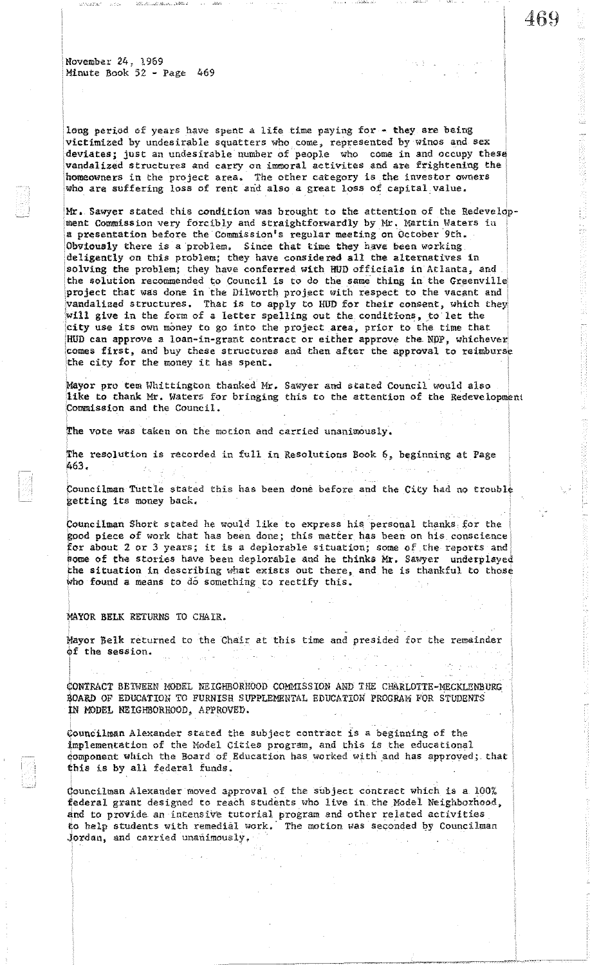long period of years have spent a life time paying for - they are being victimized by undesirable squatters who come, represented by winos and Sex deviates; just an undesirable number of people who come in and occupy these vandalized structures and carry on immoral activites and are frightening the homeowners in the project area. The other category is the investor owners who are suffering loss of rent and also a great loss of capital value.

Mr. Sawyer stated this condition was brought to the attention of the Redevelopment Commission very forcibly and straightforwardly by Mr. Martin Waters in a presentation before the Commission's regular meeting on October 9th. Obviously there is a problem. Since that time they have been working deligently on this problem; they have considered all the alternatives in solving the problem; they have conferred with HUD officials in Atlanta, and the solution recommended to Council is to do the same thing in the Greenville project that was done in the Dilworth project with respect to the vacant and vandalized structures. That is to apply to HUD for their consent, which they will give in the form of a letter spelling out the conditions, to let the city use its own money to go into the project area, prior to the time that HUD can approve a loan-in-grant contract or either approve the NDP, whichever comes first, and buy these structures and then after the approval to reimburse the city for the money it has spent.

Mayor pro tem Whittington thanked Mr. Sawyer and stated Council would also like to thank Mr. Waters for bringing this to the attention of the Redevelopment ·Commission and the Council.

The vote was taken on the motion and carried unsnimously.

The resolution is recorded in full in Resolutions Book 6, beginning at Page 1;63.

Councilman Tuttle stated this has been done before and the City had no trouble getting its money back.

Councilman Short stated he would like to express his personal thanks for the good piece of work that has been done; this matter has been on his conscience for about 2 or 3 years; it is a deplorable situation; some of the reports and some of the stories have been deplorable and he thinks Mr. Sawyer underplayed the situation in describing what exists out there, and he is thankful to those who found a means to do something to rectify this.

MAYOR BELK RETURNS TO CHAIR.

Mayor Belk returned to the Chair at this time and presided for the remainder of the session.  $\omega_{\rm A}$  ,  $\sim$ 

¢ONTRACT BETWEEN MODEL NEIGHBORHOOD COMMISSION AND THE CHARLOTTE-MECKLENBURG \$OARD OF EDUCATION TO FURNISH SUPPLEMENTAL EDUCATION PROGRAM FOR STUDENTS IN MODEL NEIGHBORHOOD, APPROVED.

Councilman Alexander stated the subject contract is a beginning of the implementation of the Model Cities program, and this is the educational domponent which the Board of Education has worked with and has approved; that this is by all federal funds.

(!ouncilman Alexander moved approval of the subject contract which is a 100% federal grant designed to reach students who live in the Model Neighborhood, and to provide an intensive tutorial program and other related activities to help students with remedial work. The motion was seconded by Councilman Jordan, and carried unanimously.

469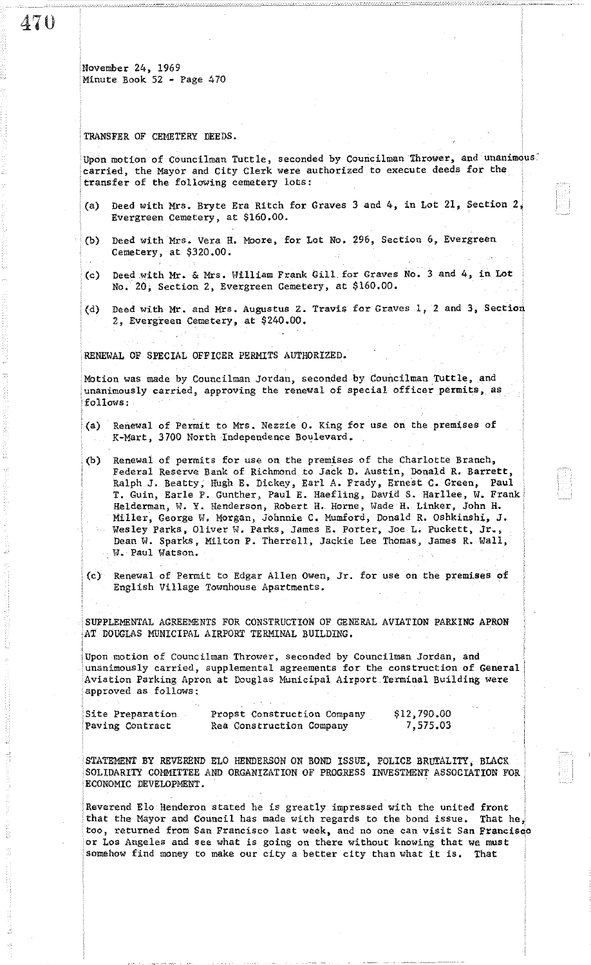## TRANSFER OF CEMETERY DEEDS.

Upon motion of Councilman Tuttle, seconded by Councilman Thrower, and unanimous. carried, the Mayor and City Clerk ware authorized to execute deeds for the transfer of the following cemetery lots:

- (a) Deed with Mrs. Bryte Era Ritch for Graves 3 and 4, in Lot 21, Section 2, Evergreen Cemetery, at \$160.00.
- (b) Deed with Mrs. Vera H. Moore, for Lot No. 296, Section 6, Evergreen Cemetery, at \$320.00.
- (c) Deed with Mr. & Mrs. William Frank Gill for Graves No. 3 and 4, in Lot No. 20; Section 2, Evergreen Cemetery, at \$160.00.
- : (d) Deed with Mr. and Mrs, Augustus Z. Travis for Graves I, 2 and 3, Section 2, Evergreen Cemetery, at \$240.00.

RENEWAL OF SPECIAL OFFICER PERMITS AUTHORIZED.

Motion was made by Councilman Jordan, seconded by Councilman Tuttle, and unanimously carried, approving the renewal of special officer permits, as follows:

- (a) Renewal of Permit to Mrs. Nezzie O. King for use on the premises of K-Mart, 3700 North Independence Boulevard.
- (b) Renewal of permits for use on the premises of the Charlotte Branch, Federal Reserve Bank of Richmond to Jack D. Austin, Donald R. Barrett, Ralph J. Beatty, Hugh E. Dickey, Earl A. Frady, Ernest C. Green, Paul T. Guin, Earle P. Gunther, Paul E. Haefling, David S. Rarllee, W. Frank Helderman, W. Y. Henderson, Robert H. Horne, Wade H. Linker, John H. Miller, George W. Morgan, Johnnie C. Mumford, Donald R. Oshkinshi, J. Wesley Parks, Oliver W. Parks, James E. Porter, Joe L. Puckett, Jr., Dean W. Sparks, Milton P. Therrell, Jackie Lee Thomas, James R. Wall, W. Paul Watson.
- . (c) Renewal of Permit to Edgar Allen Owen, Jr. for use on the premises or English Village Townhouse Apartments.

SUPPLEMENTAL AGREEMENTS FOR CONSTRUCTION OF GENERAL AVIATION PARKING APRON AT DOUGLAS MUNICIPAL AIRPORT TERMINAL BUILDING.

Upon motion of Councilman Thrower, seconded by Counci.lman Jordan, and unanimously carried, supplemental agreements for the construction of General Aviation Parking Apron at Douglas Municipal Airport Terminal Building were approved as follows:

| Site Preparation | Propst Construction Company | \$12,790.00 |
|------------------|-----------------------------|-------------|
| Paving Contract  | Rea Construction Company    | 7,575.03    |

STATEMENT BY REVEREND ELO HENDERSON ON BOND ISSUE, POLICE BRUTALITY, BLACK SOLIDARITY COMHITTEE AND ORGANIZATION OF PROGRESS INVESTMENT ASSOCIATION FOR ECONOMIC DEVELOPMENT.

Reverend El0 Henderon stated he is greatly impressed with the united front that the Mayor and Council has made with regards to the bond issue. That he, too, returned from San Francisco last week, and no one can visit San FrancisGo or Los Angeles and see what is going on there without knowing that we must somehow find money to make our city a better city than what it is. That

47U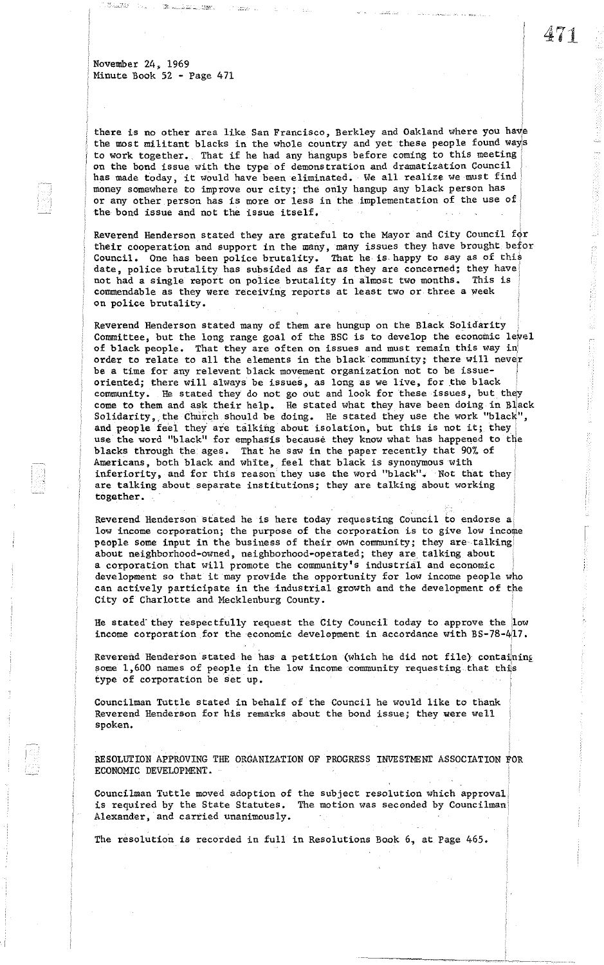there is no other area like San Francisco, Berkley and Oakland where you have the most militant blacks in the whole country and yet these people found ways to work together. That if he had any hangups before coming to this meeting on the bond issue with the type of demonstration and dramatization Council has made today, it would have been eliminated. We all realize we must find money somewhere to improve our city; the only hangup any black person has or any other person has is more or less in the implementation of the use of the bond issue and not the issue itself.

Reverend Henderson stated they are grateful to the Mayor and City Council  $f\phi r$ their cooperation and support in the many, many issues they have brought befor Council. One has been police brutality. That he is happy to say as of this date, police brutality has subsided as far as they are concerned; they have not had a single report on police brutality in almost two months. This is  $\vert$ commendable as they were receiving reports at least two or three a week on police brutality.

Reverend Henderson stated many of them are hungup on the Black Solidarity Committee, but the long range goal of the BSC is to develop the economic level of black people. That they are often On issues and must remain this way in' order to relate to all the elements in the black' community; there will never be a time for any relevent black movement organization not to be issueoriented; there will always be issues, as long as we live, for the black community. He stated they do not go out and look for these issues, but they come to them and ask their help. He stated what they have been doing in Black Solidarity, the Church should be doing. He stated they use the work "black", and people feel they are talking about isolation, but this is not it; they use the word "black" for emphasis because they know what has happened to the blacks through the ages. That he saw in the paper recently that 90% of Americans, both black and white, feel that black is synonymous with inferiority, and for this reason they use the word "black". Not that they are talking about separate institutions; they are talking about working together.

Reverend Henderson stated he is here today requesting Council to endorse a: low income corporation; the purpose of the corporation is to give low income people some input in the business of their own community; they are· talking about neighborhood-owned, neighborhood-operated; they are talking about a corporation that will promote the community's industrial and economic development so that it may provide the opportunity for low income people who can actively participate in the industrial growth and the development of the City of Charlotte and Mecklenburg County.

He stated'they respectfully request the City Council today to approve the low income corporation for the economic development in accordance with BS-78-4il7.

Reverend Henderson stated he has a petition (which he did not file) containing some 1,600 names of people in the low income community requesting.that this type of corporation be set up.

Councilman Tuttle stated in behalf of the Council he would like to thank Reverend Henderson for his remarks about the bond issue; they were well spoken.

RESOLUTION APPROVING THE ORGANIZATION OF PROGRESS INVESTMENT ASSOCIATION FOR ECONOMIC DEVELOPMENT.

------~,~--~. ---~-.'---.

Councilman Tuttle moved adoption of the subject resolution which approval is required by the State Statutes. The motion was seconded by Councilman Alexander, and carried unanimously.

The resolution is recorded in full in Resolutions Book 6, at Page 465.